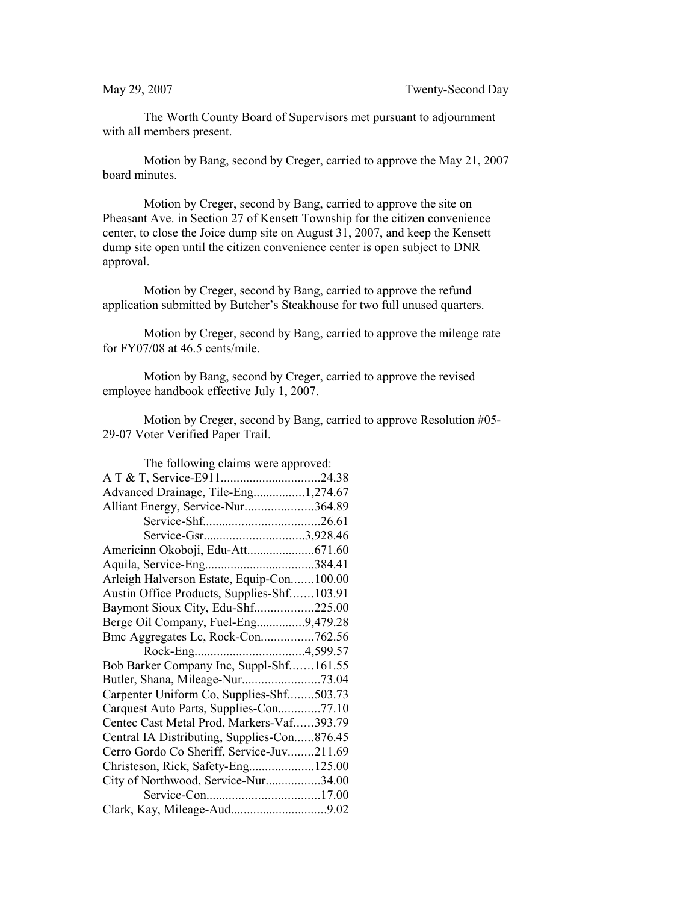The Worth County Board of Supervisors met pursuant to adjournment with all members present.

Motion by Bang, second by Creger, carried to approve the May 21, 2007 board minutes.

Motion by Creger, second by Bang, carried to approve the site on Pheasant Ave. in Section 27 of Kensett Township for the citizen convenience center, to close the Joice dump site on August 31, 2007, and keep the Kensett dump site open until the citizen convenience center is open subject to DNR approval.

Motion by Creger, second by Bang, carried to approve the refund application submitted by Butcher's Steakhouse for two full unused quarters.

Motion by Creger, second by Bang, carried to approve the mileage rate for FY07/08 at 46.5 cents/mile.

Motion by Bang, second by Creger, carried to approve the revised employee handbook effective July 1, 2007.

Motion by Creger, second by Bang, carried to approve Resolution #05- 29-07 Voter Verified Paper Trail.

| The following claims were approved:         |  |
|---------------------------------------------|--|
| A T & T, Service-E91124.38                  |  |
| Advanced Drainage, Tile-Eng1,274.67         |  |
| Alliant Energy, Service-Nur364.89           |  |
|                                             |  |
| Service-Gsr3,928.46                         |  |
|                                             |  |
|                                             |  |
| Arleigh Halverson Estate, Equip-Con100.00   |  |
| Austin Office Products, Supplies-Shf103.91  |  |
| Baymont Sioux City, Edu-Shf225.00           |  |
| Berge Oil Company, Fuel-Eng9,479.28         |  |
| Bmc Aggregates Lc, Rock-Con762.56           |  |
|                                             |  |
| Bob Barker Company Inc, Suppl-Shf161.55     |  |
|                                             |  |
| Carpenter Uniform Co, Supplies-Shf503.73    |  |
| Carquest Auto Parts, Supplies-Con77.10      |  |
| Centec Cast Metal Prod, Markers-Vaf393.79   |  |
| Central IA Distributing, Supplies-Con876.45 |  |
| Cerro Gordo Co Sheriff, Service-Juv211.69   |  |
| Christeson, Rick, Safety-Eng125.00          |  |
| City of Northwood, Service-Nur34.00         |  |
|                                             |  |
|                                             |  |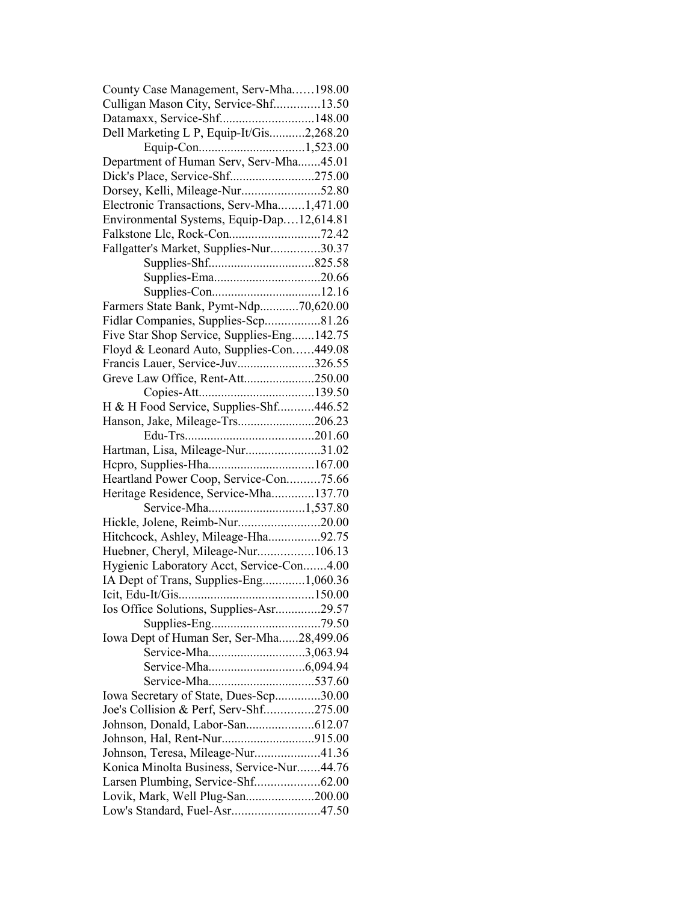| County Case Management, Serv-Mha198.00                                       |  |
|------------------------------------------------------------------------------|--|
| Culligan Mason City, Service-Shf13.50                                        |  |
| Datamaxx, Service-Shf148.00                                                  |  |
| Dell Marketing L P, Equip-It/Gis2,268.20                                     |  |
|                                                                              |  |
| Department of Human Serv, Serv-Mha45.01                                      |  |
| Dick's Place, Service-Shf275.00                                              |  |
| Dorsey, Kelli, Mileage-Nur52.80                                              |  |
| Electronic Transactions, Serv-Mha1,471.00                                    |  |
| Environmental Systems, Equip-Dap12,614.81                                    |  |
| Falkstone Llc, Rock-Con72.42                                                 |  |
| Fallgatter's Market, Supplies-Nur30.37                                       |  |
|                                                                              |  |
|                                                                              |  |
|                                                                              |  |
| Farmers State Bank, Pymt-Ndp70,620.00                                        |  |
| Fidlar Companies, Supplies-Scp81.26                                          |  |
| Five Star Shop Service, Supplies-Eng142.75                                   |  |
|                                                                              |  |
| Floyd & Leonard Auto, Supplies-Con449.08<br>Francis Lauer, Service-Juv326.55 |  |
|                                                                              |  |
| Greve Law Office, Rent-Att250.00                                             |  |
|                                                                              |  |
| H & H Food Service, Supplies-Shf446.52                                       |  |
| Hanson, Jake, Mileage-Trs206.23                                              |  |
|                                                                              |  |
| Hartman, Lisa, Mileage-Nur31.02                                              |  |
|                                                                              |  |
| Heartland Power Coop, Service-Con75.66                                       |  |
| Heritage Residence, Service-Mha137.70                                        |  |
| Service-Mha1,537.80                                                          |  |
| Hickle, Jolene, Reimb-Nur20.00                                               |  |
| Hitchcock, Ashley, Mileage-Hha92.75                                          |  |
| Huebner, Cheryl, Mileage-Nur106.13                                           |  |
| Hygienic Laboratory Acct, Service-Con4.00                                    |  |
| IA Dept of Trans, Supplies-Eng1,060.36                                       |  |
|                                                                              |  |
| Ios Office Solutions, Supplies-Asr29.57                                      |  |
|                                                                              |  |
| Iowa Dept of Human Ser, Ser-Mha28,499.06                                     |  |
| Service-Mha3,063.94                                                          |  |
|                                                                              |  |
|                                                                              |  |
| Iowa Secretary of State, Dues-Scp30.00                                       |  |
| Joe's Collision & Perf, Serv-Shf275.00                                       |  |
|                                                                              |  |
|                                                                              |  |
| Johnson, Teresa, Mileage-Nur41.36                                            |  |
| Konica Minolta Business, Service-Nur44.76                                    |  |
|                                                                              |  |
| Lovik, Mark, Well Plug-San200.00                                             |  |
| Low's Standard, Fuel-Asr47.50                                                |  |
|                                                                              |  |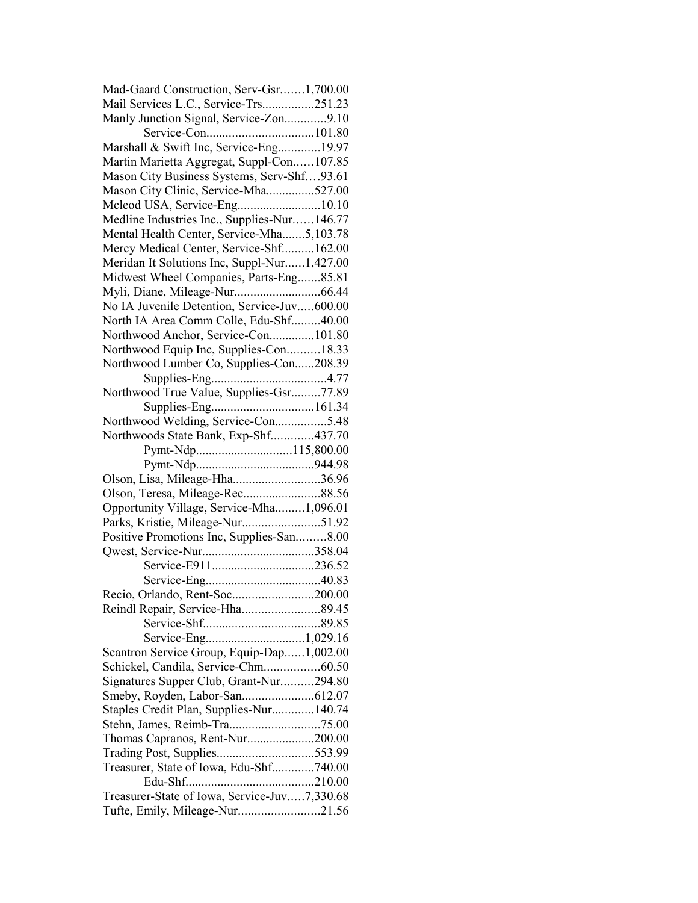| Mad-Gaard Construction, Serv-Gsr1,700.00                                         |  |
|----------------------------------------------------------------------------------|--|
| Mail Services L.C., Service-Trs251.23                                            |  |
| Manly Junction Signal, Service-Zon9.10                                           |  |
|                                                                                  |  |
| Marshall & Swift Inc, Service-Eng19.97                                           |  |
| Martin Marietta Aggregat, Suppl-Con107.85                                        |  |
| Mason City Business Systems, Serv-Shf93.61                                       |  |
| Mason City Clinic, Service-Mha527.00                                             |  |
| Mcleod USA, Service-Eng10.10                                                     |  |
| Medline Industries Inc., Supplies-Nur146.77                                      |  |
| Mental Health Center, Service-Mha5,103.78                                        |  |
| Mercy Medical Center, Service-Shf162.00                                          |  |
| Meridan It Solutions Inc, Suppl-Nur1,427.00                                      |  |
| Midwest Wheel Companies, Parts-Eng85.81                                          |  |
|                                                                                  |  |
| No IA Juvenile Detention, Service-Juv600.00                                      |  |
| North IA Area Comm Colle, Edu-Shf40.00                                           |  |
| Northwood Anchor, Service-Con101.80                                              |  |
| Northwood Equip Inc, Supplies-Con18.33                                           |  |
| Northwood Lumber Co, Supplies-Con208.39                                          |  |
|                                                                                  |  |
| Northwood True Value, Supplies-Gsr77.89                                          |  |
|                                                                                  |  |
| Northwood Welding, Service-Con5.48                                               |  |
| Northwoods State Bank, Exp-Shf437.70                                             |  |
|                                                                                  |  |
|                                                                                  |  |
|                                                                                  |  |
| Olson, Lisa, Mileage-Hha36.96                                                    |  |
|                                                                                  |  |
|                                                                                  |  |
| Opportunity Village, Service-Mha1,096.01<br>Parks, Kristie, Mileage-Nur51.92     |  |
|                                                                                  |  |
| Positive Promotions Inc, Supplies-San8.00                                        |  |
|                                                                                  |  |
|                                                                                  |  |
|                                                                                  |  |
| Recio, Orlando, Rent-Soc200.00                                                   |  |
|                                                                                  |  |
|                                                                                  |  |
|                                                                                  |  |
| Scantron Service Group, Equip-Dap1,002.00<br>Schickel, Candila, Service-Chm60.50 |  |
| Signatures Supper Club, Grant-Nur294.80                                          |  |
|                                                                                  |  |
|                                                                                  |  |
| Staples Credit Plan, Supplies-Nur140.74                                          |  |
|                                                                                  |  |
| Thomas Capranos, Rent-Nur200.00<br>Trading Post, Supplies553.99                  |  |
|                                                                                  |  |
| Treasurer, State of Iowa, Edu-Shf740.00                                          |  |
| Treasurer-State of Iowa, Service-Juv7,330.68                                     |  |